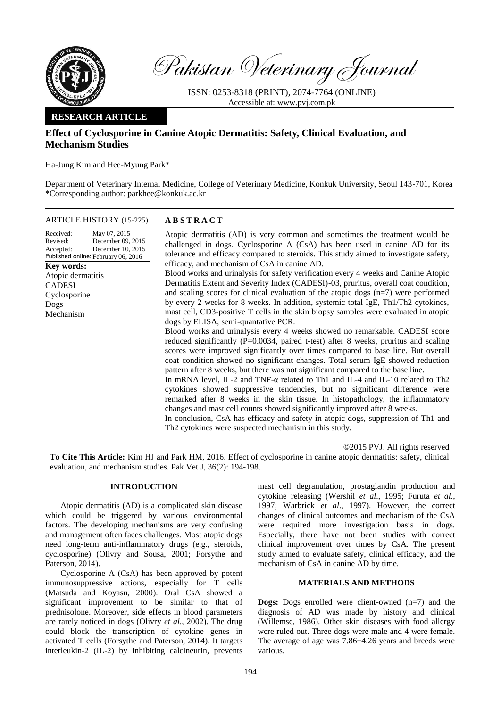

Pakistan Veterinary Journal

ISSN: 0253-8318 (PRINT), 2074-7764 (ONLINE) Accessible at: [www.pvj.com.pk](http://www.pvj.com.pk/)

## **RESEARCH ARTICLE**

# **Effect of Cyclosporine in Canine Atopic Dermatitis: Safety, Clinical Evaluation, and Mechanism Studies**

Ha-Jung Kim and Hee-Myung Park\*

Department of Veterinary Internal Medicine, College of Veterinary Medicine, Konkuk University, Seoul 143-701, Korea \*Corresponding author: parkhee@konkuk.ac.kr

| <b>ARTICLE HISTORY</b> (15-225) |  |
|---------------------------------|--|
|---------------------------------|--|

| May 07, 2015<br>Received:<br>December 09, 2015<br>Revised:<br>December 10, 2015<br>Accepted:<br>Published online: February 06, 2016 | Atopic dermatitis (AD) is very common and sometimes the treatment would be<br>challenged in dogs. Cyclosporine A (CsA) has been used in canine AD for its<br>tolerance and efficacy compared to steroids. This study aimed to investigate safety,                                                                                                                                                                                                                                                                                                                                                                                                                                                                                                                   |  |  |
|-------------------------------------------------------------------------------------------------------------------------------------|---------------------------------------------------------------------------------------------------------------------------------------------------------------------------------------------------------------------------------------------------------------------------------------------------------------------------------------------------------------------------------------------------------------------------------------------------------------------------------------------------------------------------------------------------------------------------------------------------------------------------------------------------------------------------------------------------------------------------------------------------------------------|--|--|
| <b>Key words:</b>                                                                                                                   | efficacy, and mechanism of CsA in canine AD.                                                                                                                                                                                                                                                                                                                                                                                                                                                                                                                                                                                                                                                                                                                        |  |  |
| Atopic dermatitis                                                                                                                   | Blood works and urinalysis for safety verification every 4 weeks and Canine Atopic                                                                                                                                                                                                                                                                                                                                                                                                                                                                                                                                                                                                                                                                                  |  |  |
| <b>CADESI</b>                                                                                                                       | Dermatitis Extent and Severity Index (CADESI)-03, pruritus, overall coat condition,                                                                                                                                                                                                                                                                                                                                                                                                                                                                                                                                                                                                                                                                                 |  |  |
| Cyclosporine                                                                                                                        | and scaling scores for clinical evaluation of the atopic dogs $(n=7)$ were performed                                                                                                                                                                                                                                                                                                                                                                                                                                                                                                                                                                                                                                                                                |  |  |
| Dogs                                                                                                                                | by every 2 weeks for 8 weeks. In addition, systemic total IgE, Th1/Th2 cytokines,                                                                                                                                                                                                                                                                                                                                                                                                                                                                                                                                                                                                                                                                                   |  |  |
| Mechanism                                                                                                                           | mast cell, CD3-positive T cells in the skin biopsy samples were evaluated in atopic<br>dogs by ELISA, semi-quantative PCR.                                                                                                                                                                                                                                                                                                                                                                                                                                                                                                                                                                                                                                          |  |  |
|                                                                                                                                     | Blood works and urinalysis every 4 weeks showed no remarkable. CADESI score<br>reduced significantly (P=0.0034, paired t-test) after 8 weeks, pruritus and scaling<br>scores were improved significantly over times compared to base line. But overall<br>coat condition showed no significant changes. Total serum IgE showed reduction<br>pattern after 8 weeks, but there was not significant compared to the base line.<br>In mRNA level, IL-2 and TNF- $\alpha$ related to Th1 and IL-4 and IL-10 related to Th2<br>cytokines showed suppressive tendencies, but no significant difference were<br>remarked after 8 weeks in the skin tissue. In histopathology, the inflammatory<br>changes and mast cell counts showed significantly improved after 8 weeks. |  |  |
|                                                                                                                                     | In conclusion, CsA has efficacy and safety in atopic dogs, suppression of Th1 and                                                                                                                                                                                                                                                                                                                                                                                                                                                                                                                                                                                                                                                                                   |  |  |

ARTICLE HISTORY (15-225) **A B S T R A C T**

©2015 PVJ. All rights reserved

**To Cite This Article:** Kim HJ and Park HM, 2016. Effect of cyclosporine in canine atopic dermatitis: safety, clinical evaluation, and mechanism studies. Pak Vet J, 36(2): 194-198.

Th2 cytokines were suspected mechanism in this study.

## **INTRODUCTION**

Atopic dermatitis (AD) is a complicated skin disease which could be triggered by various environmental factors. The developing mechanisms are very confusing and management often faces challenges. Most atopic dogs need long-term anti-inflammatory drugs (e.g., steroids, cyclosporine) (Olivry and Sousa, 2001; Forsythe and Paterson, 2014).

Cyclosporine A (CsA) has been approved by potent immunosuppressive actions, especially for T cells (Matsuda and Koyasu, 2000). Oral CsA showed a significant improvement to be similar to that of prednisolone. Moreover, side effects in blood parameters are rarely noticed in dogs (Olivry *et al*., 2002). The drug could block the transcription of cytokine genes in activated T cells (Forsythe and Paterson, 2014). It targets interleukin-2 (IL-2) by inhibiting calcineurin, prevents

mast cell degranulation, prostaglandin production and cytokine releasing (Wershil *et al*., 1995; Furuta *et al*., 1997; Warbrick *et al*., 1997). However, the correct changes of clinical outcomes and mechanism of the CsA were required more investigation basis in dogs. Especially, there have not been studies with correct clinical improvement over times by CsA. The present study aimed to evaluate safety, clinical efficacy, and the mechanism of CsA in canine AD by time.

## **MATERIALS AND METHODS**

**Dogs:** Dogs enrolled were client-owned (n=7) and the diagnosis of AD was made by history and clinical (Willemse, 1986). Other skin diseases with food allergy were ruled out. Three dogs were male and 4 were female. The average of age was 7.86±4.26 years and breeds were various.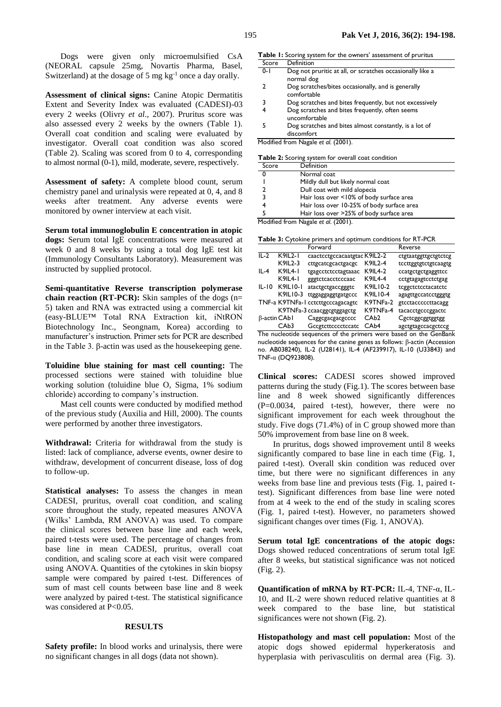Dogs were given only microemulsified CsA (NEORAL capsule 25mg, Novartis Pharma, Basel, Switzerland) at the dosage of 5 mg  $kg^{-1}$  once a day orally.

**Assessment of clinical signs:** Canine Atopic Dermatitis Extent and Severity Index was evaluated (CADESI)-03 every 2 weeks (Olivry *et al*., 2007). Pruritus score was also assessed every 2 weeks by the owners (Table 1). Overall coat condition and scaling were evaluated by investigator. Overall coat condition was also scored (Table 2). Scaling was scored from 0 to 4, corresponding to almost normal (0-1), mild, moderate, severe, respectively.

**Assessment of safety:** A complete blood count, serum chemistry panel and urinalysis were repeated at 0, 4, and 8 weeks after treatment. Any adverse events were monitored by owner interview at each visit.

**Serum total immunoglobulin E concentration in atopic dogs:** Serum total IgE concentrations were measured at week 0 and 8 weeks by using a total dog IgE test kit (Immunology Consultants Laboratory). Measurement was instructed by supplied protocol.

**Semi-quantitative Reverse transcription polymerase chain reaction (RT-PCR):** Skin samples of the dogs (n= 5) taken and RNA was extracted using a commercial kit (easy-BLUE™ Total RNA Extraction kit, iNtRON Biotechnology Inc., Seongnam, Korea) according to manufacturer's instruction. Primer sets for PCR are described in the Table 3. β-actin was used as the housekeeping gene.

**Toluidine blue staining for mast cell counting:** The processed sections were stained with toluidine blue working solution (toluidine blue O, Sigma, 1% sodium chloride) according to company's instruction.

Mast cell counts were conducted by modified method of the previous study (Auxilia and Hill, 2000). The counts were performed by another three investigators.

**Withdrawal:** Criteria for withdrawal from the study is listed: lack of compliance, adverse events, owner desire to withdraw, development of concurrent disease, loss of dog to follow-up.

**Statistical analyses:** To assess the changes in mean CADESI, pruritus, overall coat condition, and scaling score throughout the study, repeated measures ANOVA (Wilks' Lambda, RM ANOVA) was used. To compare the clinical scores between base line and each week, paired t-tests were used. The percentage of changes from base line in mean CADESI, pruritus, overall coat condition, and scaling score at each visit were compared using ANOVA. Quantities of the cytokines in skin biopsy sample were compared by paired t-test. Differences of sum of mast cell counts between base line and 8 week were analyzed by paired t-test. The statistical significance was considered at P<0.05.

### **RESULTS**

**Safety profile:** In blood works and urinalysis, there were no significant changes in all dogs (data not shown).

| <b>Table 1:</b> Scoring system for the owners' assessment of pruritus |                                                                         |  |  |  |  |
|-----------------------------------------------------------------------|-------------------------------------------------------------------------|--|--|--|--|
| Score                                                                 | Definition                                                              |  |  |  |  |
| $0 - 1$                                                               | Dog not pruritic at all, or scratches occasionally like a<br>normal dog |  |  |  |  |
| 2                                                                     | Dog scratches/bites occasionally, and is generally<br>comfortable       |  |  |  |  |
|                                                                       |                                                                         |  |  |  |  |

- 3 Dog scratches and bites frequently, but not excessively
- 4 Dog scratches and bites frequently, often seems uncomfortable
- 5 Dog scratches and bites almost constantly, is a lot of discomfort

Modified from Nagale *et al.* (2001).

**Table 2:** Scoring system for overall coat condition

| Score             | Definition                                 |  |  |  |
|-------------------|--------------------------------------------|--|--|--|
| 0                 | Normal coat                                |  |  |  |
|                   | Mildly dull but likely normal coat         |  |  |  |
| າ                 | Dull coat with mild alopecia               |  |  |  |
| 3                 | Hair loss over <10% of body surface area   |  |  |  |
|                   | Hair loss over 10-25% of body surface area |  |  |  |
|                   | Hair loss over >25% of body surface area   |  |  |  |
| $M = \frac{1}{2}$ |                                            |  |  |  |

Modified from Nagale *et al*. (2001).

**Table 3:** Cytokine primers and optimum conditions for RT-PCR

|                      |                  | Forward                           |                   | Reverse              |
|----------------------|------------------|-----------------------------------|-------------------|----------------------|
| $II - 2$             | $K9II 2-I$       | caactcctgccacaatgtac K9IL2-2      |                   | ctgtaatggttgctgtctcg |
|                      | K9IL2-3          | cttgcatcgcactgacgc                | K9IL2-4           | tccttggtgtctgtcaagtg |
| IL-4                 | <b>K9IL4-1</b>   | tgagectetectagtaaac               | <b>K9IL4-2</b>    | ccatgctgctgaggttcc   |
|                      | <b>K9IL4-1</b>   | gggtctcacctcccaac                 | K9IL4-4           | cctgtagagtcctctgag   |
| $IL-IO$              | K9IL10-1         | atactgctgaccgggtc                 | K9IL10-2          | tcggctctcctacatctc   |
|                      | K9IL10-3         | ttggaggaggtgatgccc                | K9IL10-4          | agagttgccatcctgggtg  |
|                      |                  | TNF-a K9TNFa-1 cctcttgcccagacagtc | K9TNFa-2          | gtcctacccccttacagg   |
|                      |                  | K9TNFa-3 ccaacggcgtggagctg        | K9TNFa-4          | tacacctgcccggactc    |
| $\beta$ -actin CAb I |                  | Caggcgacgacgcccc                  | CAb <sub>2</sub>  | Cgctcggcggtggtgg     |
|                      | CAb <sub>3</sub> | Geegtetteeeeteeate                | CA <sub>b</sub> 4 | agctgtagccacgctccg   |

The nucleotide sequences of the primers were based on the GenBank nucleotide sequences for the canine genes as follows: β-actin (Accession no. AB038240), IL-2 (U28141), IL-4 (AF239917), IL-10 (U33843) and TNF-α (DQ923808).

**Clinical scores:** CADESI scores showed improved patterns during the study (Fig.1). The scores between base line and 8 week showed significantly differences (P=0.0034, paired t-test), however, there were no significant improvement for each week throughout the study. Five dogs (71.4%) of in C group showed more than 50% improvement from base line on 8 week.

In pruritus, dogs showed improvement until 8 weeks significantly compared to base line in each time (Fig. 1, paired t-test). Overall skin condition was reduced over time, but there were no significant differences in any weeks from base line and previous tests (Fig. 1, paired ttest). Significant differences from base line were noted from at 4 week to the end of the study in scaling scores (Fig. 1, paired t-test). However, no parameters showed significant changes over times (Fig. 1, ANOVA).

**Serum total IgE concentrations of the atopic dogs:**  Dogs showed reduced concentrations of serum total IgE after 8 weeks, but statistical significance was not noticed (Fig. 2).

**Quantification of mRNA by RT-PCR:** IL-4, TNF-α, IL-10, and IL-2 were shown reduced relative quantities at 8 week compared to the base line, but statistical significances were not shown (Fig. 2).

**Histopathology and mast cell population:** Most of the atopic dogs showed epidermal hyperkeratosis and hyperplasia with perivasculitis on dermal area (Fig. 3).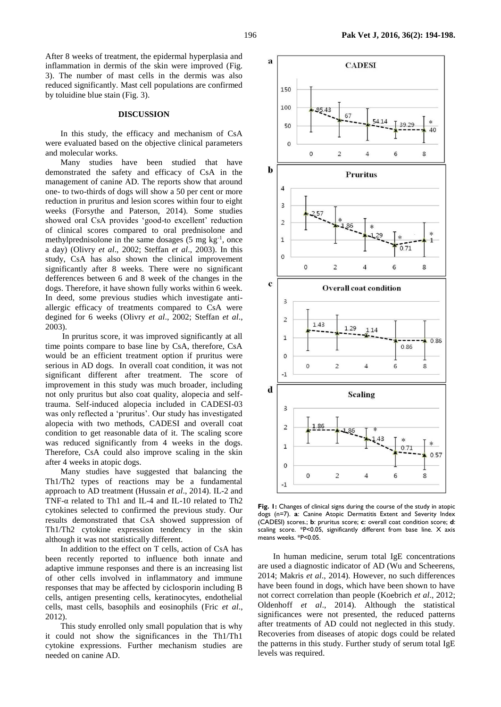### **DISCUSSION**

In this study, the efficacy and mechanism of CsA were evaluated based on the objective clinical parameters and molecular works.

Many studies have been studied that have demonstrated the safety and efficacy of CsA in the management of canine AD. The reports show that around one- to two-thirds of dogs will show a 50 per cent or more reduction in pruritus and lesion scores within four to eight weeks (Forsythe and Paterson, 2014). Some studies showed oral CsA provides 'good-to excellent' reduction of clinical scores compared to oral prednisolone and methylprednisolone in the same dosages  $(5 \text{ mg kg}^{-1})$ , once a day) (Olivry *et al*., 2002; Steffan *et al*., 2003). In this study, CsA has also shown the clinical improvement significantly after 8 weeks. There were no significant defferences between 6 and 8 week of the changes in the dogs. Therefore, it have shown fully works within 6 week. In deed, some previous studies which investigate antiallergic efficacy of treatments compared to CsA were degined for 6 weeks (Olivry *et al*., 2002; Steffan *et al*., 2003).

In pruritus score, it was improved significantly at all time points compare to base line by CsA, therefore, CsA would be an efficient treatment option if pruritus were serious in AD dogs. In overall coat condition, it was not significant different after treatment. The score of improvement in this study was much broader, including not only pruritus but also coat quality, alopecia and selftrauma. Self-induced alopecia included in CADESI-03 was only reflected a 'pruritus'. Our study has investigated alopecia with two methods, CADESI and overall coat condition to get reasonable data of it. The scaling score was reduced significantly from 4 weeks in the dogs. Therefore, CsA could also improve scaling in the skin after 4 weeks in atopic dogs.

Many studies have suggested that balancing the Th1/Th2 types of reactions may be a fundamental approach to AD treatment (Hussain *et al*., 2014). IL-2 and TNF-α related to Th1 and IL-4 and IL-10 related to Th2 cytokines selected to confirmed the previous study. Our results demonstrated that CsA showed suppression of Th1/Th2 cytokine expression tendency in the skin although it was not statistically different.

In addition to the effect on T cells, action of CsA has been recently reported to influence both innate and adaptive immune responses and there is an increasing list of other cells involved in inflammatory and immune responses that may be affected by ciclosporin including B cells, antigen presenting cells, keratinocytes, endothelial cells, mast cells, basophils and eosinophils (Fric *[et al](http://www.ncbi.nlm.nih.gov.libproxy.amc.seoul.kr:8000/pmc/articles/PMC3995292/#R29)*., [2012\)](http://www.ncbi.nlm.nih.gov.libproxy.amc.seoul.kr:8000/pmc/articles/PMC3995292/#R29).

This study enrolled only small population that is why it could not show the significances in the Th1/Th1 cytokine expressions. Further mechanism studies are needed on canine AD.



Fig. 1: Changes of clinical signs during the course of the study in atopic dogs (n=7). **a**: Canine Atopic Dermatitis Extent and Severity Index (CADESI) scores.; **b**: pruritus score; **c**: overall coat condition score; **d**: scaling score. *\**P<0.05, significantly different from base line. X axis means weeks. \*P<0.05.

In human medicine, serum total IgE concentrations are used a diagnostic indicator of AD (Wu and Scheerens, 2014; Makris *et al*., 2014). However, no such differences have been found in dogs, which have been shown to have not correct correlation than people (Koebrich *et al*., 2012; Oldenhoff *et al*., 2014). Although the statistical significances were not presented, the reduced patterns after treatments of AD could not neglected in this study. Recoveries from diseases of atopic dogs could be related the patterns in this study. Further study of serum total IgE levels was required.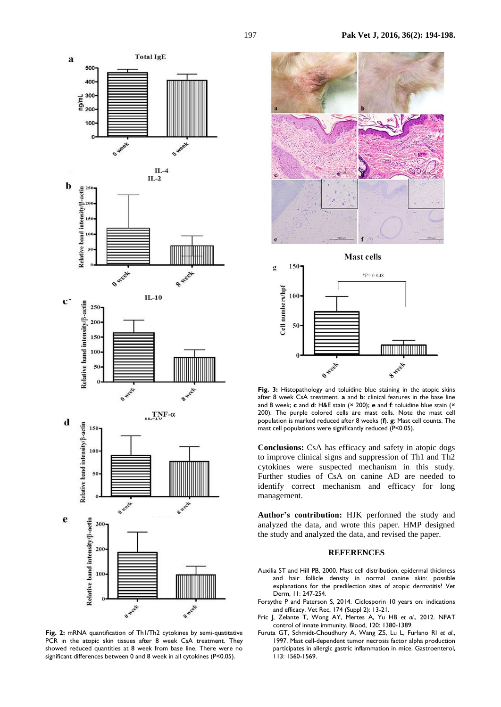

Fig. 2: mRNA quantification of Th1/Th2 cytokines by semi-quatitative PCR in the atopic skin tissues after 8 week CsA treatment. They showed reduced quantities at 8 week from base line. There were no significant differences between 0 and 8 week in all cytokines (P<0.05).



**Mast cells** 



Fig. 3: Histopathology and toluidine blue staining in the atopic skins after 8 week CsA treatment. **a** and **b**: clinical features in the base line and 8 week; **c** and **d**: H&E stain (× 200); **e** and **f**: toluidine blue stain (× 200). The purple colored cells are mast cells. Note the mast cell population is marked reduced after 8 weeks (**f**). **g**: Mast cell counts. The mast cell populations were significantly reduced (P<0.05).

**Conclusions:** CsA has efficacy and safety in atopic dogs to improve clinical signs and suppression of Th1 and Th2 cytokines were suspected mechanism in this study. Further studies of CsA on canine AD are needed to identify correct mechanism and efficacy for long management.

**Author's contribution:** HJK performed the study and analyzed the data, and wrote this paper. HMP designed the study and analyzed the data, and revised the paper.

#### **REFERENCES**

- Auxilia ST and Hill PB, 2000. Mast cell distribution, epidermal thickness and hair follicle density in normal canine skin: possible explanations for the predilection sites of atopic dermatitis? Vet Derm, 11: 247-254.
- [Forsythe P](http://www.ncbi.nlm.nih.gov.libproxy.amc.seoul.kr:8000/pubmed/?term=Forsythe%20P%5BAuthor%5D&cauthor=true&cauthor_uid=24682697) and [Paterson](http://www.ncbi.nlm.nih.gov.libproxy.amc.seoul.kr:8000/pubmed/?term=Paterson%20S%5BAuthor%5D&cauthor=true&cauthor_uid=24682697) S, 2014. Ciclosporin 10 years on: indications and efficacy. [Vet Rec,](http://www.ncbi.nlm.nih.gov.libproxy.amc.seoul.kr:8000/pubmed/24682697) 174 (Suppl 2): 13-21.
- Fric J, Zelante T, Wong AY, Mertes A, Yu HB *et al*., 2012. NFAT control of innate immunity. Blood, 120: 1380-1389.
- Furuta GT, Schmidt-Choudhury A, [Wang](http://www.ncbi.nlm.nih.gov.libproxy.amc.seoul.kr:8000/pubmed/?term=Wang%20ZS%5BAuthor%5D&cauthor=true&cauthor_uid=9352858) ZS, [Lu](http://www.ncbi.nlm.nih.gov.libproxy.amc.seoul.kr:8000/pubmed/?term=Lu%20L%5BAuthor%5D&cauthor=true&cauthor_uid=9352858) L, [Furlano](http://www.ncbi.nlm.nih.gov.libproxy.amc.seoul.kr:8000/pubmed/?term=Furlano%20RI%5BAuthor%5D&cauthor=true&cauthor_uid=9352858) RI *et al*., 1997. Mast cell-dependent tumor necrosis factor alpha production participates in allergic gastric inflammation in mice. Gastroenterol, 113: 1560-1569.